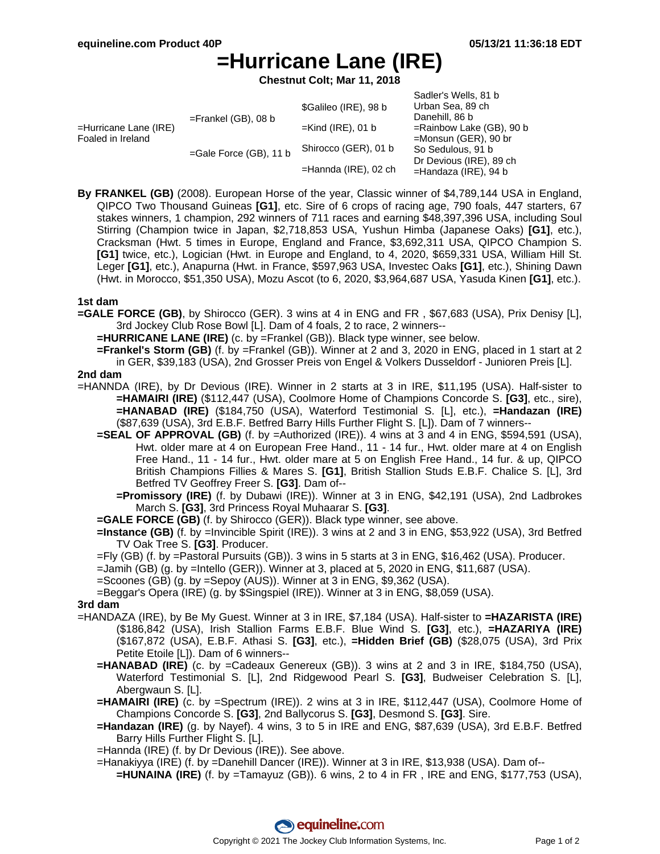Sadler's Wells, 81 b

# **=Hurricane Lane (IRE)**

**Chestnut Colt; Mar 11, 2018**

|                       | OQUICI S VYCIIS. OT D       |
|-----------------------|-----------------------------|
| \$Galileo (IRE), 98 b | Urban Sea, 89 ch            |
|                       | Danehill, 86 b              |
| $=$ Kind (IRE), 01 b  | $=$ Rainbow Lake (GB), 90 b |
| Shirocco (GER), 01 b  | $=$ Monsun (GER), 90 br     |
|                       | So Sedulous, 91 b           |
|                       | Dr Devious (IRE), 89 ch     |
|                       | $=$ Handaza (IRE), 94 b     |
|                       | $=$ Hannda (IRE), 02 ch     |

**By FRANKEL (GB)** (2008). European Horse of the year, Classic winner of \$4,789,144 USA in England, QIPCO Two Thousand Guineas **[G1]**, etc. Sire of 6 crops of racing age, 790 foals, 447 starters, 67 stakes winners, 1 champion, 292 winners of 711 races and earning \$48,397,396 USA, including Soul Stirring (Champion twice in Japan, \$2,718,853 USA, Yushun Himba (Japanese Oaks) **[G1]**, etc.), Cracksman (Hwt. 5 times in Europe, England and France, \$3,692,311 USA, QIPCO Champion S. **[G1]** twice, etc.), Logician (Hwt. in Europe and England, to 4, 2020, \$659,331 USA, William Hill St. Leger **[G1]**, etc.), Anapurna (Hwt. in France, \$597,963 USA, Investec Oaks **[G1]**, etc.), Shining Dawn (Hwt. in Morocco, \$51,350 USA), Mozu Ascot (to 6, 2020, \$3,964,687 USA, Yasuda Kinen **[G1]**, etc.).

## **1st dam**

- **=GALE FORCE (GB)**, by Shirocco (GER). 3 wins at 4 in ENG and FR , \$67,683 (USA), Prix Denisy [L], 3rd Jockey Club Rose Bowl [L]. Dam of 4 foals, 2 to race, 2 winners--
	- **=HURRICANE LANE (IRE)** (c. by =Frankel (GB)). Black type winner, see below.
	- **=Frankel's Storm (GB)** (f. by =Frankel (GB)). Winner at 2 and 3, 2020 in ENG, placed in 1 start at 2 in GER, \$39,183 (USA), 2nd Grosser Preis von Engel & Volkers Dusseldorf - Junioren Preis [L].

## **2nd dam**

- =HANNDA (IRE), by Dr Devious (IRE). Winner in 2 starts at 3 in IRE, \$11,195 (USA). Half-sister to **=HAMAIRI (IRE)** (\$112,447 (USA), Coolmore Home of Champions Concorde S. **[G3]**, etc., sire), **=HANABAD (IRE)** (\$184,750 (USA), Waterford Testimonial S. [L], etc.), **=Handazan (IRE)** (\$87,639 (USA), 3rd E.B.F. Betfred Barry Hills Further Flight S. [L]). Dam of 7 winners--
	- **=SEAL OF APPROVAL (GB)** (f. by =Authorized (IRE)). 4 wins at 3 and 4 in ENG, \$594,591 (USA), Hwt. older mare at 4 on European Free Hand., 11 - 14 fur., Hwt. older mare at 4 on English Free Hand., 11 - 14 fur., Hwt. older mare at 5 on English Free Hand., 14 fur. & up, QIPCO British Champions Fillies & Mares S. **[G1]**, British Stallion Studs E.B.F. Chalice S. [L], 3rd Betfred TV Geoffrey Freer S. **[G3]**. Dam of--
		- **=Promissory (IRE)** (f. by Dubawi (IRE)). Winner at 3 in ENG, \$42,191 (USA), 2nd Ladbrokes March S. **[G3]**, 3rd Princess Royal Muhaarar S. **[G3]**.
	- **=GALE FORCE (GB)** (f. by Shirocco (GER)). Black type winner, see above.
	- **=Instance (GB)** (f. by =Invincible Spirit (IRE)). 3 wins at 2 and 3 in ENG, \$53,922 (USA), 3rd Betfred TV Oak Tree S. **[G3]**. Producer.
	- =Fly (GB) (f. by =Pastoral Pursuits (GB)). 3 wins in 5 starts at 3 in ENG, \$16,462 (USA). Producer.
	- =Jamih (GB) (g. by =Intello (GER)). Winner at 3, placed at 5, 2020 in ENG, \$11,687 (USA).
	- =Scoones (GB) (g. by =Sepoy (AUS)). Winner at 3 in ENG, \$9,362 (USA).
	- =Beggar's Opera (IRE) (g. by \$Singspiel (IRE)). Winner at 3 in ENG, \$8,059 (USA).

#### **3rd dam**

- =HANDAZA (IRE), by Be My Guest. Winner at 3 in IRE, \$7,184 (USA). Half-sister to **=HAZARISTA (IRE)** (\$186,842 (USA), Irish Stallion Farms E.B.F. Blue Wind S. **[G3]**, etc.), **=HAZARIYA (IRE)** (\$167,872 (USA), E.B.F. Athasi S. **[G3]**, etc.), **=Hidden Brief (GB)** (\$28,075 (USA), 3rd Prix Petite Etoile [L]). Dam of 6 winners--
	- **=HANABAD (IRE)** (c. by =Cadeaux Genereux (GB)). 3 wins at 2 and 3 in IRE, \$184,750 (USA), Waterford Testimonial S. [L], 2nd Ridgewood Pearl S. **[G3]**, Budweiser Celebration S. [L], Abergwaun S. [L].
	- **=HAMAIRI (IRE)** (c. by =Spectrum (IRE)). 2 wins at 3 in IRE, \$112,447 (USA), Coolmore Home of Champions Concorde S. **[G3]**, 2nd Ballycorus S. **[G3]**, Desmond S. **[G3]**. Sire.
	- **=Handazan (IRE)** (g. by Nayef). 4 wins, 3 to 5 in IRE and ENG, \$87,639 (USA), 3rd E.B.F. Betfred Barry Hills Further Flight S. [L].
	- =Hannda (IRE) (f. by Dr Devious (IRE)). See above.
	- =Hanakiyya (IRE) (f. by =Danehill Dancer (IRE)). Winner at 3 in IRE, \$13,938 (USA). Dam of--
		- **=HUNAINA (IRE)** (f. by =Tamayuz (GB)). 6 wins, 2 to 4 in FR , IRE and ENG, \$177,753 (USA),